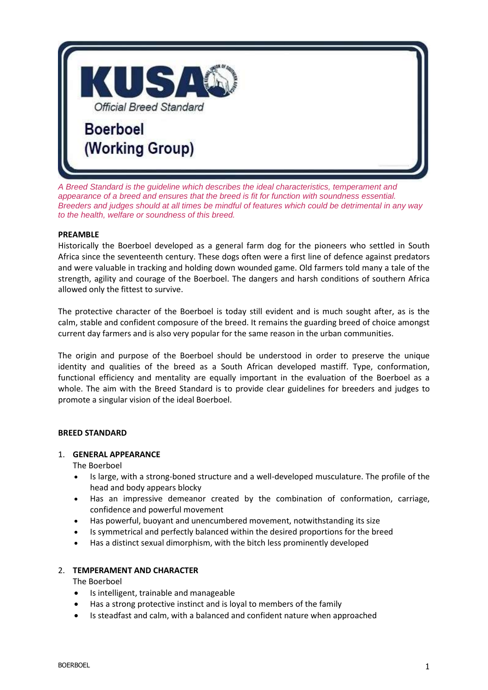

*A Breed Standard is the guideline which describes the ideal characteristics, temperament and appearance of a breed and ensures that the breed is fit for function with soundness essential. Breeders and judges should at all times be mindful of features which could be detrimental in any way to the health, welfare or soundness of this breed.*

### **PREAMBLE**

Historically the Boerboel developed as a general farm dog for the pioneers who settled in South Africa since the seventeenth century. These dogs often were a first line of defence against predators and were valuable in tracking and holding down wounded game. Old farmers told many a tale of the strength, agility and courage of the Boerboel. The dangers and harsh conditions of southern Africa allowed only the fittest to survive.

The protective character of the Boerboel is today still evident and is much sought after, as is the calm, stable and confident composure of the breed. It remains the guarding breed of choice amongst current day farmers and is also very popular for the same reason in the urban communities.

The origin and purpose of the Boerboel should be understood in order to preserve the unique identity and qualities of the breed as a South African developed mastiff. Type, conformation, functional efficiency and mentality are equally important in the evaluation of the Boerboel as a whole. The aim with the Breed Standard is to provide clear guidelines for breeders and judges to promote a singular vision of the ideal Boerboel.

#### **BREED STANDARD**

#### 1. **GENERAL APPEARANCE**

The Boerboel

- Is large, with a strong-boned structure and a well-developed musculature. The profile of the head and body appears blocky
- Has an impressive demeanor created by the combination of conformation, carriage, confidence and powerful movement
- Has powerful, buoyant and unencumbered movement, notwithstanding its size
- Is symmetrical and perfectly balanced within the desired proportions for the breed
- Has a distinct sexual dimorphism, with the bitch less prominently developed

# 2. **TEMPERAMENT AND CHARACTER**

The Boerboel

- Is intelligent, trainable and manageable
- Has a strong protective instinct and is loyal to members of the family
- Is steadfast and calm, with a balanced and confident nature when approached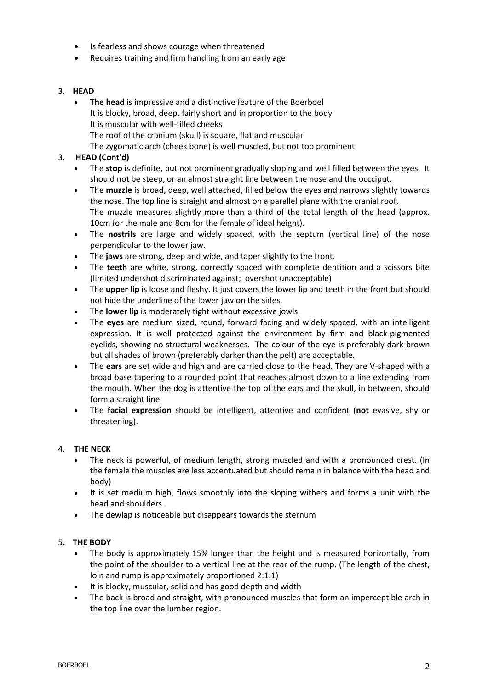- Is fearless and shows courage when threatened
- Requires training and firm handling from an early age

### 3. **HEAD**

 **The head** is impressive and a distinctive feature of the Boerboel It is blocky, broad, deep, fairly short and in proportion to the body It is muscular with well-filled cheeks The roof of the cranium (skull) is square, flat and muscular The zygomatic arch (cheek bone) is well muscled, but not too prominent

### 3. **HEAD (Cont'd)**

- The **stop** is definite, but not prominent gradually sloping and well filled between the eyes. It should not be steep, or an almost straight line between the nose and the occciput.
- The **muzzle** is broad, deep, well attached, filled below the eyes and narrows slightly towards the nose. The top line is straight and almost on a parallel plane with the cranial roof. The muzzle measures slightly more than a third of the total length of the head (approx. 10cm for the male and 8cm for the female of ideal height).
- The **nostrils** are large and widely spaced, with the septum (vertical line) of the nose perpendicular to the lower jaw.
- The **jaws** are strong, deep and wide, and taper slightly to the front.
- The **teeth** are white, strong, correctly spaced with complete dentition and a scissors bite (limited undershot discriminated against; overshot unacceptable)
- The **upper lip** is loose and fleshy. It just covers the lower lip and teeth in the front but should not hide the underline of the lower jaw on the sides.
- The **lower lip** is moderately tight without excessive jowls.
- The **eyes** are medium sized, round, forward facing and widely spaced, with an intelligent expression. It is well protected against the environment by firm and black-pigmented eyelids, showing no structural weaknesses. The colour of the eye is preferably dark brown but all shades of brown (preferably darker than the pelt) are acceptable.
- The **ears** are set wide and high and are carried close to the head. They are V-shaped with a broad base tapering to a rounded point that reaches almost down to a line extending from the mouth. When the dog is attentive the top of the ears and the skull, in between, should form a straight line.
- The **facial expression** should be intelligent, attentive and confident (**not** evasive, shy or threatening).

# 4. **THE NECK**

- The neck is powerful, of medium length, strong muscled and with a pronounced crest. (In the female the muscles are less accentuated but should remain in balance with the head and body)
- It is set medium high, flows smoothly into the sloping withers and forms a unit with the head and shoulders.
- The dewlap is noticeable but disappears towards the sternum

#### 5**. THE BODY**

- The body is approximately 15% longer than the height and is measured horizontally, from the point of the shoulder to a vertical line at the rear of the rump. (The length of the chest, loin and rump is approximately proportioned 2:1:1)
- It is blocky, muscular, solid and has good depth and width
- The back is broad and straight, with pronounced muscles that form an imperceptible arch in the top line over the lumber region.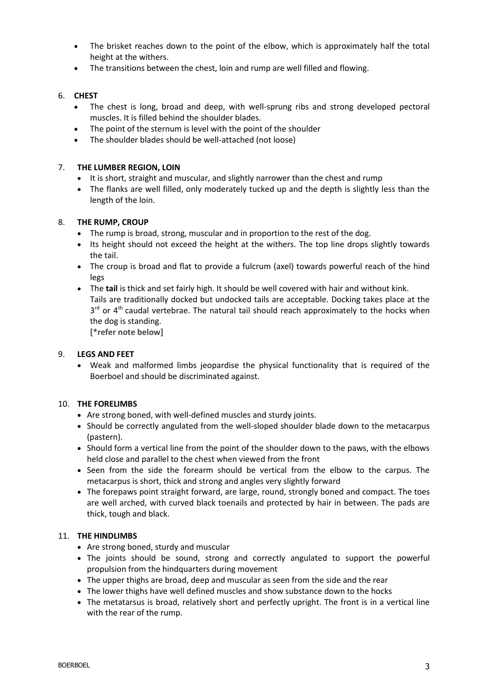- The brisket reaches down to the point of the elbow, which is approximately half the total height at the withers.
- The transitions between the chest, loin and rump are well filled and flowing.

### 6. **CHEST**

- The chest is long, broad and deep, with well-sprung ribs and strong developed pectoral muscles. It is filled behind the shoulder blades.
- The point of the sternum is level with the point of the shoulder
- The shoulder blades should be well-attached (not loose)

### 7. **THE LUMBER REGION, LOIN**

- It is short, straight and muscular, and slightly narrower than the chest and rump
- The flanks are well filled, only moderately tucked up and the depth is slightly less than the length of the loin.

#### 8. **THE RUMP, CROUP**

- The rump is broad, strong, muscular and in proportion to the rest of the dog.
- Its height should not exceed the height at the withers. The top line drops slightly towards the tail.
- The croup is broad and flat to provide a fulcrum (axel) towards powerful reach of the hind legs
- The **tail** is thick and set fairly high. It should be well covered with hair and without kink. Tails are traditionally docked but undocked tails are acceptable. Docking takes place at the 3<sup>rd</sup> or 4<sup>th</sup> caudal vertebrae. The natural tail should reach approximately to the hocks when the dog is standing.

**[\*refer note below]**

#### 9. **LEGS AND FEET**

 Weak and malformed limbs jeopardise the physical functionality that is required of the Boerboel and should be discriminated against.

#### 10. **THE FORELIMBS**

- Are strong boned, with well-defined muscles and sturdy joints.
- Should be correctly angulated from the well-sloped shoulder blade down to the metacarpus (pastern).
- Should form a vertical line from the point of the shoulder down to the paws, with the elbows held close and parallel to the chest when viewed from the front
- Seen from the side the forearm should be vertical from the elbow to the carpus. The metacarpus is short, thick and strong and angles very slightly forward
- The forepaws point straight forward, are large, round, strongly boned and compact. The toes are well arched, with curved black toenails and protected by hair in between. The pads are thick, tough and black.

#### 11. **THE HINDLIMBS**

- Are strong boned, sturdy and muscular
- The joints should be sound, strong and correctly angulated to support the powerful propulsion from the hindquarters during movement
- The upper thighs are broad, deep and muscular as seen from the side and the rear
- The lower thighs have well defined muscles and show substance down to the hocks
- The metatarsus is broad, relatively short and perfectly upright. The front is in a vertical line with the rear of the rump.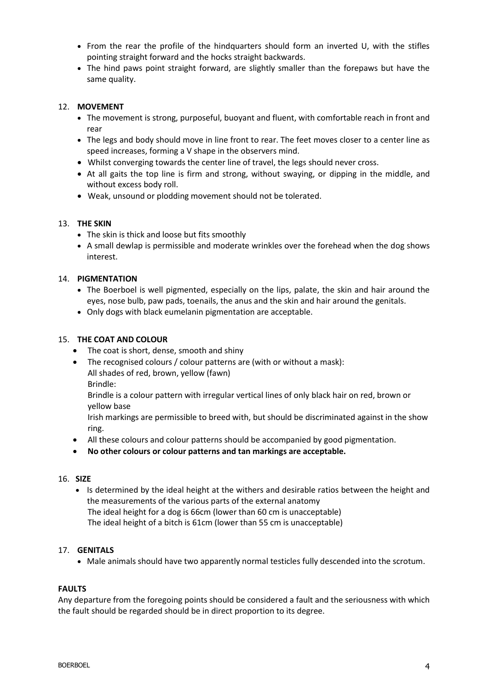- From the rear the profile of the hindquarters should form an inverted U, with the stifles pointing straight forward and the hocks straight backwards.
- The hind paws point straight forward, are slightly smaller than the forepaws but have the same quality.

## 12. **MOVEMENT**

- The movement is strong, purposeful, buoyant and fluent, with comfortable reach in front and rear
- The legs and body should move in line front to rear. The feet moves closer to a center line as speed increases, forming a V shape in the observers mind.
- Whilst converging towards the center line of travel, the legs should never cross.
- At all gaits the top line is firm and strong, without swaying, or dipping in the middle, and without excess body roll.
- Weak, unsound or plodding movement should not be tolerated.

#### 13. **THE SKIN**

- The skin is thick and loose but fits smoothly
- A small dewlap is permissible and moderate wrinkles over the forehead when the dog shows interest.

### 14. **PIGMENTATION**

- The Boerboel is well pigmented, especially on the lips, palate, the skin and hair around the eyes, nose bulb, paw pads, toenails, the anus and the skin and hair around the genitals.
- Only dogs with black eumelanin pigmentation are acceptable.

### 15. **THE COAT AND COLOUR**

- The coat is short, dense, smooth and shiny
- The recognised colours / colour patterns are (with or without a mask):
	- All shades of red, brown, yellow (fawn)
	- Brindle:

Brindle is a colour pattern with irregular vertical lines of only black hair on red, brown or yellow base

Irish markings are permissible to breed with, but should be discriminated against in the show ring.

- All these colours and colour patterns should be accompanied by good pigmentation.
- **No other colours or colour patterns and tan markings are acceptable.**

#### 16. **SIZE**

 Is determined by the ideal height at the withers and desirable ratios between the height and the measurements of the various parts of the external anatomy The ideal height for a dog is 66cm (lower than 60 cm is unacceptable) The ideal height of a bitch is 61cm (lower than 55 cm is unacceptable)

#### 17. **GENITALS**

Male animals should have two apparently normal testicles fully descended into the scrotum.

#### **FAULTS**

Any departure from the foregoing points should be considered a fault and the seriousness with which the fault should be regarded should be in direct proportion to its degree.